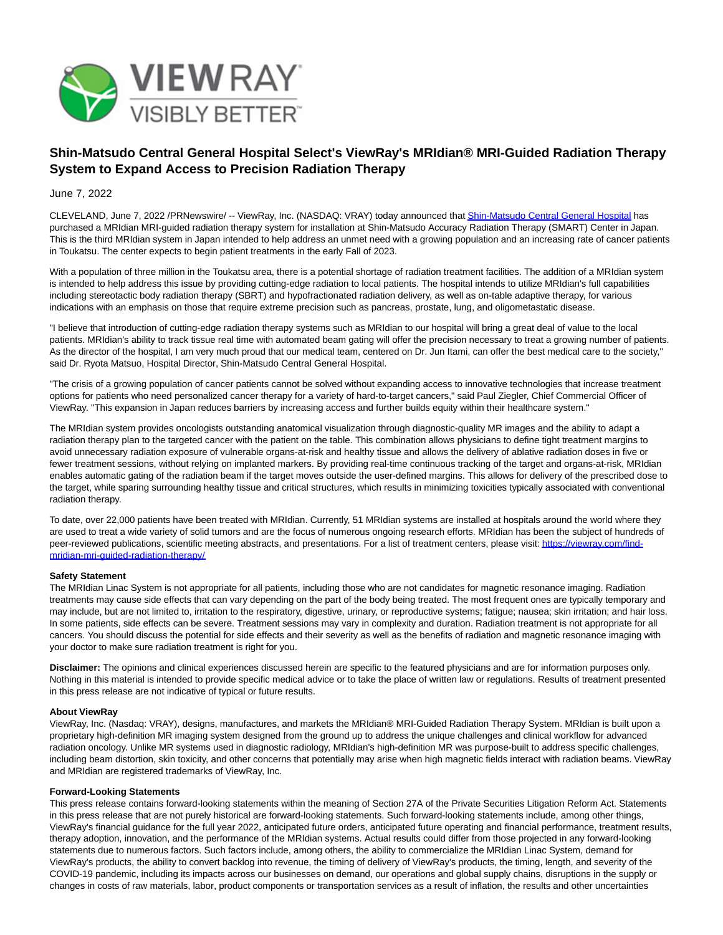

# **Shin-Matsudo Central General Hospital Select's ViewRay's MRIdian® MRI-Guided Radiation Therapy System to Expand Access to Precision Radiation Therapy**

## June 7, 2022

CLEVELAND, June 7, 2022 /PRNewswire/ -- ViewRay, Inc. (NASDAQ: VRAY) today announced tha[t Shin-Matsudo Central General Hospital h](https://c212.net/c/link/?t=0&l=en&o=3559229-1&h=2917882266&u=https%3A%2F%2Fwww.shinmatsudo-hospital.jp%2F&a=Shin-Matsudo+Central+General+Hospital)as purchased a MRIdian MRI-guided radiation therapy system for installation at Shin-Matsudo Accuracy Radiation Therapy (SMART) Center in Japan. This is the third MRIdian system in Japan intended to help address an unmet need with a growing population and an increasing rate of cancer patients in Toukatsu. The center expects to begin patient treatments in the early Fall of 2023.

With a population of three million in the Toukatsu area, there is a potential shortage of radiation treatment facilities. The addition of a MRIdian system is intended to help address this issue by providing cutting-edge radiation to local patients. The hospital intends to utilize MRIdian's full capabilities including stereotactic body radiation therapy (SBRT) and hypofractionated radiation delivery, as well as on-table adaptive therapy, for various indications with an emphasis on those that require extreme precision such as pancreas, prostate, lung, and oligometastatic disease.

"I believe that introduction of cutting-edge radiation therapy systems such as MRIdian to our hospital will bring a great deal of value to the local patients. MRIdian's ability to track tissue real time with automated beam gating will offer the precision necessary to treat a growing number of patients. As the director of the hospital, I am very much proud that our medical team, centered on Dr. Jun Itami, can offer the best medical care to the society," said Dr. Ryota Matsuo, Hospital Director, Shin-Matsudo Central General Hospital.

"The crisis of a growing population of cancer patients cannot be solved without expanding access to innovative technologies that increase treatment options for patients who need personalized cancer therapy for a variety of hard-to-target cancers," said Paul Ziegler, Chief Commercial Officer of ViewRay. "This expansion in Japan reduces barriers by increasing access and further builds equity within their healthcare system."

The MRIdian system provides oncologists outstanding anatomical visualization through diagnostic-quality MR images and the ability to adapt a radiation therapy plan to the targeted cancer with the patient on the table. This combination allows physicians to define tight treatment margins to avoid unnecessary radiation exposure of vulnerable organs-at-risk and healthy tissue and allows the delivery of ablative radiation doses in five or fewer treatment sessions, without relying on implanted markers. By providing real-time continuous tracking of the target and organs-at-risk, MRIdian enables automatic gating of the radiation beam if the target moves outside the user-defined margins. This allows for delivery of the prescribed dose to the target, while sparing surrounding healthy tissue and critical structures, which results in minimizing toxicities typically associated with conventional radiation therapy.

To date, over 22,000 patients have been treated with MRIdian. Currently, 51 MRIdian systems are installed at hospitals around the world where they are used to treat a wide variety of solid tumors and are the focus of numerous ongoing research efforts. MRIdian has been the subject of hundreds of peer-reviewed publications, scientific meeting abstracts, and presentations. For a list of treatment centers, please visit[: https://viewray.com/find](https://c212.net/c/link/?t=0&l=en&o=3559229-1&h=323482365&u=https%3A%2F%2Fviewray.com%2Ffind-mridian-mri-guided-radiation-therapy%2F&a=https%3A%2F%2Fviewray.com%2Ffind-mridian-mri-guided-radiation-therapy%2F)mridian-mri-guided-radiation-therapy/

## **Safety Statement**

The MRIdian Linac System is not appropriate for all patients, including those who are not candidates for magnetic resonance imaging. Radiation treatments may cause side effects that can vary depending on the part of the body being treated. The most frequent ones are typically temporary and may include, but are not limited to, irritation to the respiratory, digestive, urinary, or reproductive systems; fatigue; nausea; skin irritation; and hair loss. In some patients, side effects can be severe. Treatment sessions may vary in complexity and duration. Radiation treatment is not appropriate for all cancers. You should discuss the potential for side effects and their severity as well as the benefits of radiation and magnetic resonance imaging with your doctor to make sure radiation treatment is right for you.

**Disclaimer:** The opinions and clinical experiences discussed herein are specific to the featured physicians and are for information purposes only. Nothing in this material is intended to provide specific medical advice or to take the place of written law or regulations. Results of treatment presented in this press release are not indicative of typical or future results.

#### **About ViewRay**

ViewRay, Inc. (Nasdaq: VRAY), designs, manufactures, and markets the MRIdian® MRI-Guided Radiation Therapy System. MRIdian is built upon a proprietary high-definition MR imaging system designed from the ground up to address the unique challenges and clinical workflow for advanced radiation oncology. Unlike MR systems used in diagnostic radiology, MRIdian's high-definition MR was purpose-built to address specific challenges, including beam distortion, skin toxicity, and other concerns that potentially may arise when high magnetic fields interact with radiation beams. ViewRay and MRIdian are registered trademarks of ViewRay, Inc.

#### **Forward-Looking Statements**

This press release contains forward-looking statements within the meaning of Section 27A of the Private Securities Litigation Reform Act. Statements in this press release that are not purely historical are forward-looking statements. Such forward-looking statements include, among other things, ViewRay's financial guidance for the full year 2022, anticipated future orders, anticipated future operating and financial performance, treatment results, therapy adoption, innovation, and the performance of the MRIdian systems. Actual results could differ from those projected in any forward-looking statements due to numerous factors. Such factors include, among others, the ability to commercialize the MRIdian Linac System, demand for ViewRay's products, the ability to convert backlog into revenue, the timing of delivery of ViewRay's products, the timing, length, and severity of the COVID-19 pandemic, including its impacts across our businesses on demand, our operations and global supply chains, disruptions in the supply or changes in costs of raw materials, labor, product components or transportation services as a result of inflation, the results and other uncertainties